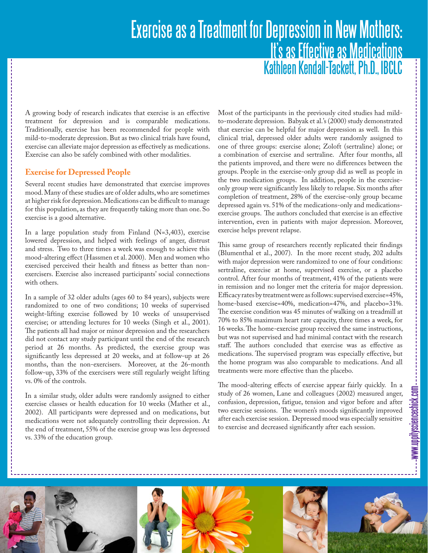# Exercise as a Treatment for Depression in New Mothers: It's as Effective as Medications Kathleen Kendall-Tackett, Ph.D., IBCLC

A growing body of research indicates that exercise is an effective treatment for depression and is comparable medications. Traditionally, exercise has been recommended for people with mild-to-moderate depression. But as two clinical trials have found, exercise can alleviate major depression as effectively as medications. Exercise can also be safely combined with other modalities.

## **Exercise for Depressed People**

Several recent studies have demonstrated that exercise improves mood. Many of these studies are of older adults, who are sometimes at higher risk for depression. Medications can be difficult to manage for this population, as they are frequently taking more than one. So exercise is a good alternative.

In a large population study from Finland (N=3,403), exercise lowered depression, and helped with feelings of anger, distrust and stress. Two to three times a week was enough to achieve this mood-altering effect (Hassmen et al. 2000). Men and women who exercised perceived their health and fitness as better than nonexercisers. Exercise also increased participants' social connections with others.

In a sample of 32 older adults (ages 60 to 84 years), subjects were randomized to one of two conditions; 10 weeks of supervised weight-lifting exercise followed by 10 weeks of unsupervised exercise; or attending lectures for 10 weeks (Singh et al., 2001). The patients all had major or minor depression and the researchers did not contact any study participant until the end of the research period at 26 months. As predicted, the exercise group was significantly less depressed at 20 weeks, and at follow-up at 26 months, than the non-exercisers. Moreover, at the 26-month follow-up, 33% of the exercisers were still regularly weight lifting vs. 0% of the controls.

In a similar study, older adults were randomly assigned to either exercise classes or health education for 10 weeks (Mather et al., 2002). All participants were depressed and on medications, but medications were not adequately controlling their depression. At the end of treatment, 55% of the exercise group was less depressed vs. 33% of the education group.

Most of the participants in the previously cited studies had mildto-moderate depression. Babyak et al.'s (2000) study demonstrated that exercise can be helpful for major depression as well. In this clinical trial, depressed older adults were randomly assigned to one of three groups: exercise alone; Zoloft (sertraline) alone; or a combination of exercise and sertraline. After four months, all the patients improved, and there were no differences between the groups. People in the exercise-only group did as well as people in the two medication groups. In addition, people in the exerciseonly group were significantly less likely to relapse. Six months after completion of treatment, 28% of the exercise-only group became depressed again vs. 51% of the medications-only and medicationsexercise groups. The authors concluded that exercise is an effective intervention, even in patients with major depression. Moreover, exercise helps prevent relapse.

This same group of researchers recently replicated their findings (Blumenthal et al., 2007). In the more recent study, 202 adults with major depression were randomized to one of four conditions: sertraline, exercise at home, supervised exercise, or a placebo control. After four months of treatment, 41% of the patients were in remission and no longer met the criteria for major depression. Efficacy rates by treatment were as follows: supervised exercise=45%, home-based exercise=40%, medication=47%, and placebo=31%. The exercise condition was 45 minutes of walking on a treadmill at 70% to 85% maximum heart rate capacity, three times a week, for 16 weeks. The home-exercise group received the same instructions, but was not supervised and had minimal contact with the research staff. The authors concluded that exercise was as effective as medications. The supervised program was especially effective, but the home program was also comparable to medications. And all treatments were more effective than the placebo.

The mood-altering effects of exercise appear fairly quickly. In a study of 26 women, Lane and colleagues (2002) measured anger, confusion, depression, fatigue, tension and vigor before and after two exercise sessions. The women's moods significantly improved after each exercise session. Depressed mood was especially sensitive to exercise and decreased significantly after each session.

www.uppitysciencechick.com

--www.uppitysciencechick.com

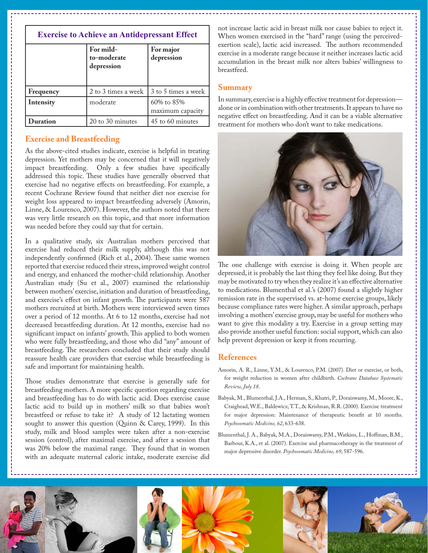| <b>Exercise to Achieve an Antidepressant Effect</b> |                                        |                                |
|-----------------------------------------------------|----------------------------------------|--------------------------------|
|                                                     | For mild-<br>to-moderate<br>depression | For major<br>depression        |
| Frequency                                           | 2 to 3 times a week                    | 3 to 5 times a week            |
| Intensity                                           | moderate                               | 60% to 85%<br>maximum capacity |
| Duration                                            | 20 to 30 minutes                       | 45 to 60 minutes               |

### **Exercise and Breastfeeding**

As the above-cited studies indicate, exercise is helpful in treating depression. Yet mothers may be concerned that it will negatively impact breastfeeding. Only a few studies have specifically addressed this topic. These studies have generally observed that exercise had no negative effects on breastfeeding. For example, a recent Cochrane Review found that neither diet nor exercise for weight loss appeared to impact breastfeeding adversely (Amorin, Linne, & Lourenco, 2007). However, the authors noted that there was very little research on this topic, and that more information was needed before they could say that for certain.

In a qualitative study, six Australian mothers perceived that exercise had reduced their milk supply, although this was not independently confirmed (Rich et al., 2004). These same women reported that exercise reduced their stress, improved weight control and energy, and enhanced the mother-child relationship. Another Australian study (Su et al., 2007) examined the relationship between mothers' exercise, initiation and duration of breastfeeding, and exercise's effect on infant growth. The participants were 587 mothers recruited at birth. Mothers were interviewed seven times over a period of 12 months. At 6 to 12 months, exercise had not decreased breastfeeding duration. At 12 months, exercise had no significant impact on infants' growth. This applied to both women who were fully breastfeeding, and those who did "any" amount of breastfeeding. The researchers concluded that their study should reassure health care providers that exercise while breastfeeding is safe and important for maintaining health.

Those studies demonstrate that exercise is generally safe for breastfeeding mothers. A more specific question regarding exercise and breastfeeding has to do with lactic acid. Does exercise cause lactic acid to build up in mothers' milk so that babies won't breastfeed or refuse to take it? A study of 12 lactating women sought to answer this question (Quinn & Carey, 1999). In this study, milk and blood samples were taken after a non-exercise session (control), after maximal exercise, and after a session that was 20% below the maximal range. They found that in women with an adequate maternal caloric intake, moderate exercise did not increase lactic acid in breast milk nor cause babies to reject it. When women exercised in the "hard" range (using the perceivedexertion scale), lactic acid increased. The authors recommended exercise in a moderate range because it neither increases lactic acid accumulation in the breast milk nor alters babies' willingness to breastfeed.

#### **Summary**

In summary, exercise is a highly effective treatment for depression alone or in combination with other treatments. It appears to have no negative effect on breastfeeding. And it can be a viable alternative treatment for mothers who don't want to take medications.



The one challenge with exercise is doing it. When people are depressed, it is probably the last thing they feel like doing. But they may be motivated to try when they realize it's an effective alternative to medications. Blumenthal et al.'s (2007) found a slightly higher remission rate in the supervised vs. at-home exercise groups, likely because compliance rates were higher. A similar approach, perhaps involving a mothers' exercise group, may be useful for mothers who want to give this modality a try. Exercise in a group setting may also provide another useful function: social support, which can also help prevent depression or keep it from recurring.

#### **References**

- Amorin, A. R., Linne, Y.M., & Lourenco, P.M. (2007). Diet or exercise, or both, for weight reduction in women after childbirth. *Cochrane Database Systematic Review, July 18*.
- Babyak, M., Blumenthal, J.A., Herman, S., Khatri, P., Doraiswamy, M., Moore, K., Craighead, W.E., Baldewicz, T.T., & Krishnan, R.R. (2000). Exercise treatment for major depression: Maintenance of therapeutic benefit at 10 months. *Psychosomatic Medicine, 62*, 633-638.
- Blumenthal, J. A., Babyak, M.A., Doraiswamy, P.M., Watkins, L., Hoffman, B.M., Barbour, K.A., et al. (2007). Exercise and pharmacotherapy in the treatment of major depressive disorder. *Psychosomatic Medicine, 69*, 587-596.